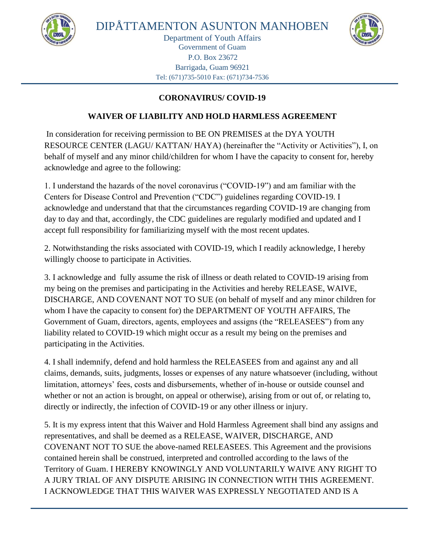



## **CORONAVIRUS/ COVID-19**

## **WAIVER OF LIABILITY AND HOLD HARMLESS AGREEMENT**

In consideration for receiving permission to BE ON PREMISES at the DYA YOUTH RESOURCE CENTER (LAGU/ KATTAN/ HAYA) (hereinafter the "Activity or Activities"), I, on behalf of myself and any minor child/children for whom I have the capacity to consent for, hereby acknowledge and agree to the following:

1. I understand the hazards of the novel coronavirus ("COVID-19") and am familiar with the Centers for Disease Control and Prevention ("CDC") guidelines regarding COVID-19. I acknowledge and understand that that the circumstances regarding COVID-19 are changing from day to day and that, accordingly, the CDC guidelines are regularly modified and updated and I accept full responsibility for familiarizing myself with the most recent updates.

2. Notwithstanding the risks associated with COVID-19, which I readily acknowledge, I hereby willingly choose to participate in Activities.

3. I acknowledge and fully assume the risk of illness or death related to COVID-19 arising from my being on the premises and participating in the Activities and hereby RELEASE, WAIVE, DISCHARGE, AND COVENANT NOT TO SUE (on behalf of myself and any minor children for whom I have the capacity to consent for) the DEPARTMENT OF YOUTH AFFAIRS, The Government of Guam, directors, agents, employees and assigns (the "RELEASEES") from any liability related to COVID-19 which might occur as a result my being on the premises and participating in the Activities.

4. I shall indemnify, defend and hold harmless the RELEASEES from and against any and all claims, demands, suits, judgments, losses or expenses of any nature whatsoever (including, without limitation, attorneys' fees, costs and disbursements, whether of in-house or outside counsel and whether or not an action is brought, on appeal or otherwise), arising from or out of, or relating to, directly or indirectly, the infection of COVID-19 or any other illness or injury.

5. It is my express intent that this Waiver and Hold Harmless Agreement shall bind any assigns and representatives, and shall be deemed as a RELEASE, WAIVER, DISCHARGE, AND COVENANT NOT TO SUE the above-named RELEASEES. This Agreement and the provisions contained herein shall be construed, interpreted and controlled according to the laws of the Territory of Guam. I HEREBY KNOWINGLY AND VOLUNTARILY WAIVE ANY RIGHT TO A JURY TRIAL OF ANY DISPUTE ARISING IN CONNECTION WITH THIS AGREEMENT. I ACKNOWLEDGE THAT THIS WAIVER WAS EXPRESSLY NEGOTIATED AND IS A